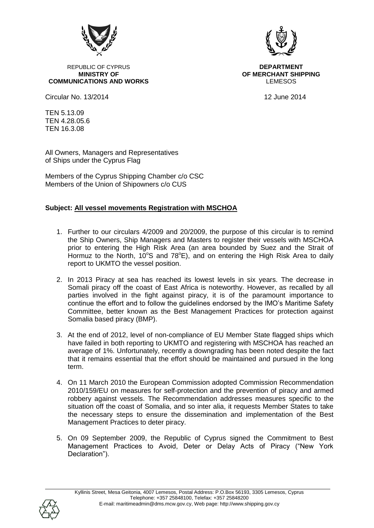

REPUBLIC OF CYPRUS **DEPARTMENT COMMUNICATIONS AND WORKS LEMESOS LEMESOS** 

Circular No. 13/2014 12 June 2014

**MINISTRY OF OF MERCHANT SHIPPING**

TEN 5.13.09 TEN 4.28.05.6 TEN 16.3.08

All Owners, Managers and Representatives of Ships under the Cyprus Flag

Members of the Cyprus Shipping Chamber c/o CSC Members of the Union of Shipowners c/o CUS

## **Subject: All vessel movements Registration with MSCHOA**

- 1. Further to our circulars 4/2009 and 20/2009, the purpose of this circular is to remind the Ship Owners, Ship Managers and Masters to register their vessels with MSCHOA prior to entering the High Risk Area (an area bounded by Suez and the Strait of Hormuz to the North,  $10^{\circ}$ S and  $78^{\circ}$ E), and on entering the High Risk Area to daily report to UKMTO the vessel position.
- 2. In 2013 Piracy at sea has reached its lowest levels in six years. The decrease in Somali piracy off the coast of East Africa is noteworthy. However, as recalled by all parties involved in the fight against piracy, it is of the paramount importance to continue the effort and to follow the guidelines endorsed by the IMO"s Maritime Safety Committee, better known as the Best Management Practices for protection against Somalia based piracy (BMP).
- 3. At the end of 2012, level of non-compliance of EU Member State flagged ships which have failed in both reporting to UKMTO and registering with MSCHOA has reached an average of 1%. Unfortunately, recently a downgrading has been noted despite the fact that it remains essential that the effort should be maintained and pursued in the long term.
- 4. On 11 March 2010 the European Commission adopted Commission Recommendation 2010/159/EU on measures for self-protection and the prevention of piracy and armed robbery against vessels. The Recommendation addresses measures specific to the situation off the coast of Somalia, and so inter alia, it requests Member States to take the necessary steps to ensure the dissemination and implementation of the Best Management Practices to deter piracy.
- 5. On 09 September 2009, the Republic of Cyprus signed the Commitment to Best Management Practices to Avoid, Deter or Delay Acts of Piracy ("New York Declaration").